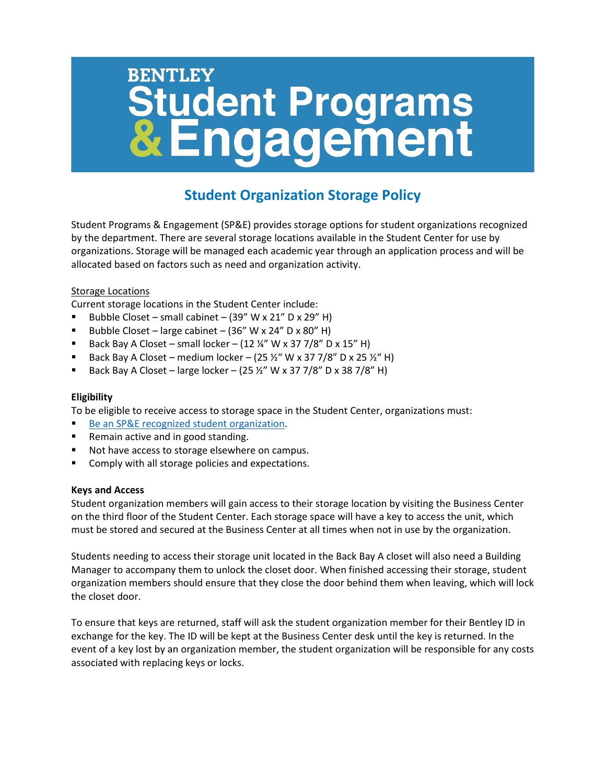# **BENTLEY Student Programs<br>& Engagement**

# **Student Organization Storage Policy**

Student Programs & Engagement (SP&E) provides storage options for student organizations recognized by the department. There are several storage locations available in the Student Center for use by organizations. Storage will be managed each academic year through an application process and will be allocated based on factors such as need and organization activity.

## Storage Locations

Current storage locations in the Student Center include:

- Bubble Closet small cabinet  $(39'' W x 21'' D x 29'' H)$
- Bubble Closet large cabinet  $(36'' W x 24'' D x 80'' H)$
- Back Bay A Closet small locker  $(12\frac{1}{4}$ " W x 37 7/8" D x 15" H)
- Back Bay A Closet medium locker  $(25 *%*$  W x 37 7/8" D x 25  $\nu$ " H)
- Back Bay A Closet large locker (25 ½" W x 37 7/8" D x 38 7/8" H)

## **Eligibility**

To be eligible to receive access to storage space in the Student Center, organizations must:

- [Be an SP&E recognized student organization.](https://bentley.campusgroups.com/club_signup)
- Remain active and in good standing.
- Not have access to storage elsewhere on campus.
- Comply with all storage policies and expectations.

#### **Keys and Access**

Student organization members will gain access to their storage location by visiting the Business Center on the third floor of the Student Center. Each storage space will have a key to access the unit, which must be stored and secured at the Business Center at all times when not in use by the organization.

Students needing to access their storage unit located in the Back Bay A closet will also need a Building Manager to accompany them to unlock the closet door. When finished accessing their storage, student organization members should ensure that they close the door behind them when leaving, which will lock the closet door.

To ensure that keys are returned, staff will ask the student organization member for their Bentley ID in exchange for the key. The ID will be kept at the Business Center desk until the key is returned. In the event of a key lost by an organization member, the student organization will be responsible for any costs associated with replacing keys or locks.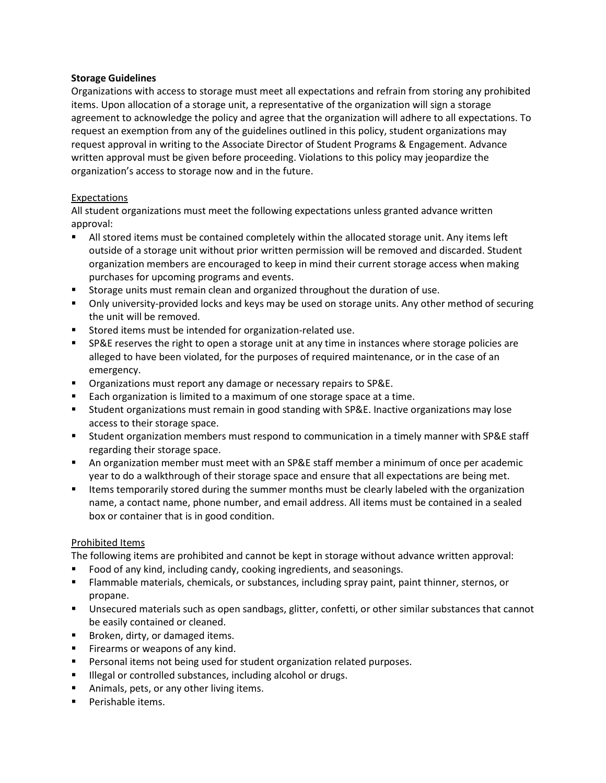#### **Storage Guidelines**

Organizations with access to storage must meet all expectations and refrain from storing any prohibited items. Upon allocation of a storage unit, a representative of the organization will sign a storage agreement to acknowledge the policy and agree that the organization will adhere to all expectations. To request an exemption from any of the guidelines outlined in this policy, student organizations may request approval in writing to the Associate Director of Student Programs & Engagement. Advance written approval must be given before proceeding. Violations to this policy may jeopardize the organization's access to storage now and in the future.

#### Expectations

All student organizations must meet the following expectations unless granted advance written approval:

- All stored items must be contained completely within the allocated storage unit. Any items left outside of a storage unit without prior written permission will be removed and discarded. Student organization members are encouraged to keep in mind their current storage access when making purchases for upcoming programs and events.
- Storage units must remain clean and organized throughout the duration of use.
- **Dia A.** Only university-provided locks and keys may be used on storage units. Any other method of securing the unit will be removed.
- **Stored items must be intended for organization-related use.**
- SP&E reserves the right to open a storage unit at any time in instances where storage policies are alleged to have been violated, for the purposes of required maintenance, or in the case of an emergency.
- Organizations must report any damage or necessary repairs to SP&E.
- **Each organization is limited to a maximum of one storage space at a time.**
- Student organizations must remain in good standing with SP&E. Inactive organizations may lose access to their storage space.
- Student organization members must respond to communication in a timely manner with SP&E staff regarding their storage space.
- An organization member must meet with an SP&E staff member a minimum of once per academic year to do a walkthrough of their storage space and ensure that all expectations are being met.
- **If the stand is temporarily stored during the summer months must be clearly labeled with the organization** name, a contact name, phone number, and email address. All items must be contained in a sealed box or container that is in good condition.

#### Prohibited Items

The following items are prohibited and cannot be kept in storage without advance written approval:

- Food of any kind, including candy, cooking ingredients, and seasonings.
- Flammable materials, chemicals, or substances, including spray paint, paint thinner, sternos, or propane.
- Unsecured materials such as open sandbags, glitter, confetti, or other similar substances that cannot be easily contained or cleaned.
- **Broken, dirty, or damaged items.**
- **Firearms or weapons of any kind.**
- Personal items not being used for student organization related purposes.
- **Illegal or controlled substances, including alcohol or drugs.**
- Animals, pets, or any other living items.
- **Perishable items.**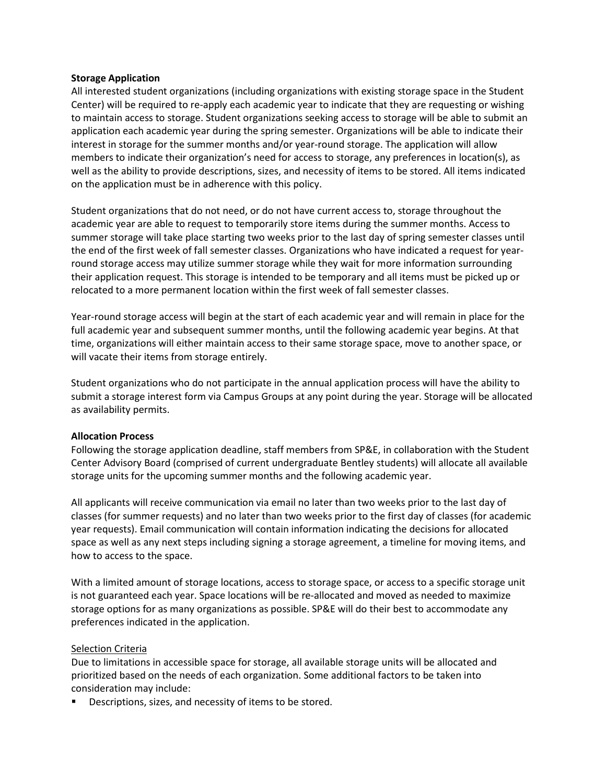#### **Storage Application**

All interested student organizations (including organizations with existing storage space in the Student Center) will be required to re-apply each academic year to indicate that they are requesting or wishing to maintain access to storage. Student organizations seeking access to storage will be able to submit an application each academic year during the spring semester. Organizations will be able to indicate their interest in storage for the summer months and/or year-round storage. The application will allow members to indicate their organization's need for access to storage, any preferences in location(s), as well as the ability to provide descriptions, sizes, and necessity of items to be stored. All items indicated on the application must be in adherence with this policy.

Student organizations that do not need, or do not have current access to, storage throughout the academic year are able to request to temporarily store items during the summer months. Access to summer storage will take place starting two weeks prior to the last day of spring semester classes until the end of the first week of fall semester classes. Organizations who have indicated a request for yearround storage access may utilize summer storage while they wait for more information surrounding their application request. This storage is intended to be temporary and all items must be picked up or relocated to a more permanent location within the first week of fall semester classes.

Year-round storage access will begin at the start of each academic year and will remain in place for the full academic year and subsequent summer months, until the following academic year begins. At that time, organizations will either maintain access to their same storage space, move to another space, or will vacate their items from storage entirely.

Student organizations who do not participate in the annual application process will have the ability to submit a storage interest form via Campus Groups at any point during the year. Storage will be allocated as availability permits.

#### **Allocation Process**

Following the storage application deadline, staff members from SP&E, in collaboration with the Student Center Advisory Board (comprised of current undergraduate Bentley students) will allocate all available storage units for the upcoming summer months and the following academic year.

All applicants will receive communication via email no later than two weeks prior to the last day of classes (for summer requests) and no later than two weeks prior to the first day of classes (for academic year requests). Email communication will contain information indicating the decisions for allocated space as well as any next steps including signing a storage agreement, a timeline for moving items, and how to access to the space.

With a limited amount of storage locations, access to storage space, or access to a specific storage unit is not guaranteed each year. Space locations will be re-allocated and moved as needed to maximize storage options for as many organizations as possible. SP&E will do their best to accommodate any preferences indicated in the application.

#### Selection Criteria

Due to limitations in accessible space for storage, all available storage units will be allocated and prioritized based on the needs of each organization. Some additional factors to be taken into consideration may include:

Descriptions, sizes, and necessity of items to be stored.